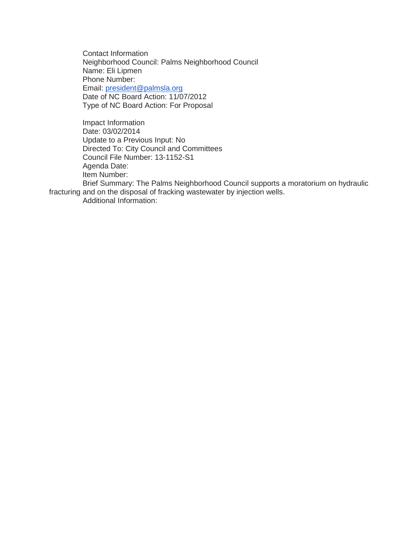Contact Information Neighborhood Council: Palms Neighborhood Council Name: Eli Lipmen Phone Number: Email: [president@palmsla.org](mailto:president@palmsla.org) Date of NC Board Action: 11/07/2012 Type of NC Board Action: For Proposal

Impact Information Date: 03/02/2014 Update to a Previous Input: No Directed To: City Council and Committees Council File Number: 13-1152-S1 Agenda Date: Item Number:

Brief Summary: The Palms Neighborhood Council supports a moratorium on hydraulic fracturing and on the disposal of fracking wastewater by injection wells.

Additional Information: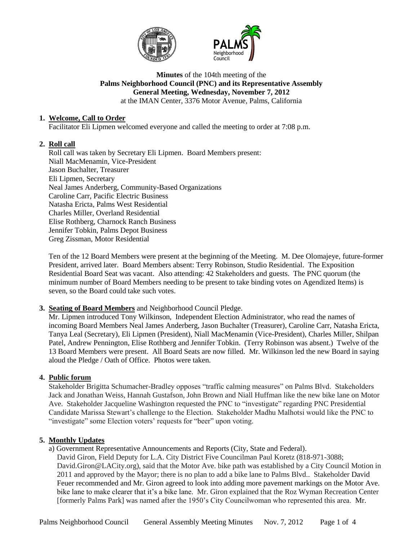



### **Minutes** of the 104th meeting of the **Palms Neighborhood Council (PNC) and its Representative Assembly General Meeting, Wednesday, November 7, 2012** at the IMAN Center, 3376 Motor Avenue, Palms, California

# **1. Welcome, Call to Order**

Facilitator Eli Lipmen welcomed everyone and called the meeting to order at 7:08 p.m.

# **2. Roll call**

Roll call was taken by Secretary Eli Lipmen. Board Members present: Niall MacMenamin, Vice-President Jason Buchalter, Treasurer Eli Lipmen, Secretary Neal James Anderberg, Community-Based Organizations Caroline Carr, Pacific Electric Business Natasha Ericta, Palms West Residential Charles Miller, Overland Residential Elise Rothberg, Charnock Ranch Business Jennifer Tobkin, Palms Depot Business Greg Zissman, Motor Residential

Ten of the 12 Board Members were present at the beginning of the Meeting. M. Dee Olomajeye, future-former President, arrived later. Board Members absent: Terry Robinson, Studio Residential. The Exposition Residential Board Seat was vacant. Also attending: 42 Stakeholders and guests. The PNC quorum (the minimum number of Board Members needing to be present to take binding votes on Agendized Items) is seven, so the Board could take such votes.

# **3. Seating of Board Members** and Neighborhood Council Pledge.

Mr. Lipmen introduced Tony Wilkinson, Independent Election Administrator, who read the names of incoming Board Members Neal James Anderberg, Jason Buchalter (Treasurer), Caroline Carr, Natasha Ericta, Tanya Leal (Secretary), Eli Lipmen (President), Niall MacMenamin (Vice-President), Charles Miller, Shilpan Patel, Andrew Pennington, Elise Rothberg and Jennifer Tobkin. (Terry Robinson was absent.) Twelve of the 13 Board Members were present. All Board Seats are now filled. Mr. Wilkinson led the new Board in saying aloud the Pledge / Oath of Office. Photos were taken.

# **4. Public forum**

Stakeholder Brigitta Schumacher-Bradley opposes "traffic calming measures" on Palms Blvd. Stakeholders Jack and Jonathan Weiss, Hannah Gustafson, John Brown and Niall Huffman like the new bike lane on Motor Ave. Stakeholder Jacqueline Washington requested the PNC to "investigate" regarding PNC Presidential Candidate Marissa Stewart's challenge to the Election. Stakeholder Madhu Malhotsi would like the PNC to "investigate" some Election voters' requests for "beer" upon voting.

# **5. Monthly Updates**

a) Government Representative Announcements and Reports (City, State and Federal). David Giron, Field Deputy for L.A. City District Five Councilman Paul Koretz (818-971-3088; David.Giron@LACity.org), said that the Motor Ave. bike path was established by a City Council Motion in 2011 and approved by the Mayor; there is no plan to add a bike lane to Palms Blvd.. Stakeholder David Feuer recommended and Mr. Giron agreed to look into adding more pavement markings on the Motor Ave. bike lane to make clearer that it's a bike lane. Mr. Giron explained that the Roz Wyman Recreation Center [formerly Palms Park] was named after the 1950's City Councilwoman who represented this area. Mr.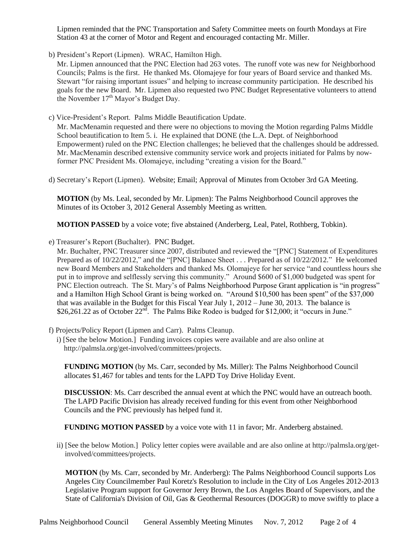Lipmen reminded that the PNC Transportation and Safety Committee meets on fourth Mondays at Fire Station 43 at the corner of Motor and Regent and encouraged contacting Mr. Miller.

b) President's Report (Lipmen). WRAC, Hamilton High.

Mr. Lipmen announced that the PNC Election had 263 votes. The runoff vote was new for Neighborhood Councils; Palms is the first. He thanked Ms. Olomajeye for four years of Board service and thanked Ms. Stewart "for raising important issues" and helping to increase community participation. He described his goals for the new Board. Mr. Lipmen also requested two PNC Budget Representative volunteers to attend the November 17<sup>th</sup> Mayor's Budget Day.

c) Vice-President's Report. Palms Middle Beautification Update.

Mr. MacMenamin requested and there were no objections to moving the Motion regarding Palms Middle School beautification to Item 5. i. He explained that DONE (the L.A. Dept. of Neighborhood Empowerment) ruled on the PNC Election challenges; he believed that the challenges should be addressed. Mr. MacMenamin described extensive community service work and projects initiated for Palms by nowformer PNC President Ms. Olomajeye, including "creating a vision for the Board."

d) Secretary's Report (Lipmen). Website; Email; Approval of Minutes from October 3rd GA Meeting.

**MOTION** (by Ms. Leal, seconded by Mr. Lipmen): The Palms Neighborhood Council approves the Minutes of its October 3, 2012 General Assembly Meeting as written.

**MOTION PASSED** by a voice vote; five abstained (Anderberg, Leal, Patel, Rothberg, Tobkin).

e) Treasurer's Report (Buchalter). PNC Budget.

Mr. Buchalter, PNC Treasurer since 2007, distributed and reviewed the "[PNC] Statement of Expenditures Prepared as of 10/22/2012," and the "[PNC] Balance Sheet . . . Prepared as of 10/22/2012." He welcomed new Board Members and Stakeholders and thanked Ms. Olomajeye for her service "and countless hours she put in to improve and selflessly serving this community." Around \$600 of \$1,000 budgeted was spent for PNC Election outreach. The St. Mary's of Palms Neighborhood Purpose Grant application is "in progress" and a Hamilton High School Grant is being worked on. "Around \$10,500 has been spent" of the \$37,000 that was available in the Budget for this Fiscal Year July 1, 2012 – June 30, 2013. The balance is \$26,261.22 as of October  $22<sup>n\overline{d}</sup>$ . The Palms Bike Rodeo is budged for \$12,000; it "occurs in June."

- f) Projects/Policy Report (Lipmen and Carr). Palms Cleanup.
	- i) [See the below Motion.] Funding invoices copies were available and are also online at http://palmsla.org/get-involved/committees/projects.

**FUNDING MOTION** (by Ms. Carr, seconded by Ms. Miller): The Palms Neighborhood Council allocates \$1,467 for tables and tents for the LAPD Toy Drive Holiday Event.

**DISCUSSION**: Ms. Carr described the annual event at which the PNC would have an outreach booth. The LAPD Pacific Division has already received funding for this event from other Neighborhood Councils and the PNC previously has helped fund it.

**FUNDING MOTION PASSED** by a voice vote with 11 in favor; Mr. Anderberg abstained.

ii) [See the below Motion.] Policy letter copies were available and are also online at http://palmsla.org/getinvolved/committees/projects.

**MOTION** (by Ms. Carr, seconded by Mr. Anderberg): The Palms Neighborhood Council supports Los Angeles City Councilmember Paul Koretz's Resolution to include in the City of Los Angeles 2012-2013 Legislative Program support for Governor Jerry Brown, the Los Angeles Board of Supervisors, and the State of California's Division of Oil, Gas & Geothermal Resources (DOGGR) to move swiftly to place a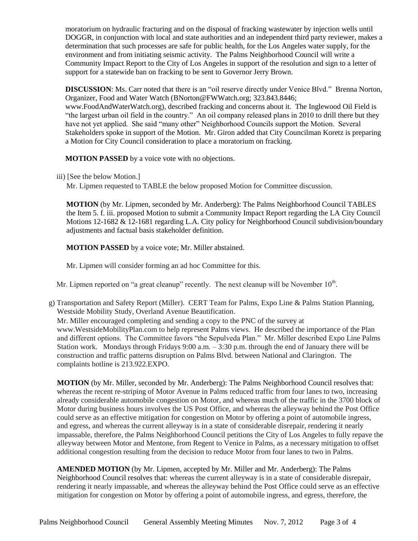moratorium on hydraulic fracturing and on the disposal of fracking wastewater by injection wells until DOGGR, in conjunction with local and state authorities and an independent third party reviewer, makes a determination that such processes are safe for public health, for the Los Angeles water supply, for the environment and from initiating seismic activity. The Palms Neighborhood Council will write a Community Impact Report to the City of Los Angeles in support of the resolution and sign to a letter of support for a statewide ban on fracking to be sent to Governor Jerry Brown.

**DISCUSSION:** Ms. Carr noted that there is an "oil reserve directly under Venice Blvd." Brenna Norton, Organizer, Food and Water Watch (BNorton@FWWatch.org; 323.843.8446; www.FoodAndWaterWatch.org), described fracking and concerns about it. The Inglewood Oil Field is "the largest urban oil field in the country." An oil company released plans in 2010 to drill there but they have not yet applied. She said "many other" Neighborhood Councils support the Motion. Several Stakeholders spoke in support of the Motion. Mr. Giron added that City Councilman Koretz is preparing a Motion for City Council consideration to place a moratorium on fracking.

**MOTION PASSED** by a voice vote with no objections.

iii) [See the below Motion.]

Mr. Lipmen requested to TABLE the below proposed Motion for Committee discussion.

**MOTION** (by Mr. Lipmen, seconded by Mr. Anderberg): The Palms Neighborhood Council TABLES the Item 5. f. iii. proposed Motion to submit a Community Impact Report regarding the LA City Council Motions 12-1682 & 12-1681 regarding L.A. City policy for Neighborhood Council subdivision/boundary adjustments and factual basis stakeholder definition.

**MOTION PASSED** by a voice vote; Mr. Miller abstained.

Mr. Lipmen will consider forming an ad hoc Committee for this.

Mr. Lipmen reported on "a great cleanup" recently. The next cleanup will be November  $10<sup>th</sup>$ .

g) Transportation and Safety Report (Miller). CERT Team for Palms, Expo Line & Palms Station Planning, Westside Mobility Study, Overland Avenue Beautification.

Mr. Miller encouraged completing and sending a copy to the PNC of the survey at www.WestsideMobilityPlan.com to help represent Palms views. He described the importance of the Plan and different options. The Committee favors "the Sepulveda Plan." Mr. Miller described Expo Line Palms Station work. Mondays through Fridays  $9:00$  a.m.  $-3:30$  p.m. through the end of January there will be construction and traffic patterns disruption on Palms Blvd. between National and Clarington. The complaints hotline is 213.922.EXPO.

**MOTION** (by Mr. Miller, seconded by Mr. Anderberg): The Palms Neighborhood Council resolves that: whereas the recent re-striping of Motor Avenue in Palms reduced traffic from four lanes to two, increasing already considerable automobile congestion on Motor, and whereas much of the traffic in the 3700 block of Motor during business hours involves the US Post Office, and whereas the alleyway behind the Post Office could serve as an effective mitigation for congestion on Motor by offering a point of automobile ingress, and egress, and whereas the current alleyway is in a state of considerable disrepair, rendering it nearly impassable, therefore, the Palms Neighborhood Council petitions the City of Los Angeles to fully repave the alleyway between Motor and Mentone, from Regent to Venice in Palms, as a necessary mitigation to offset additional congestion resulting from the decision to reduce Motor from four lanes to two in Palms.

**AMENDED MOTION** (by Mr. Lipmen, accepted by Mr. Miller and Mr. Anderberg): The Palms Neighborhood Council resolves that: whereas the current alleyway is in a state of considerable disrepair, rendering it nearly impassable, and whereas the alleyway behind the Post Office could serve as an effective mitigation for congestion on Motor by offering a point of automobile ingress, and egress, therefore, the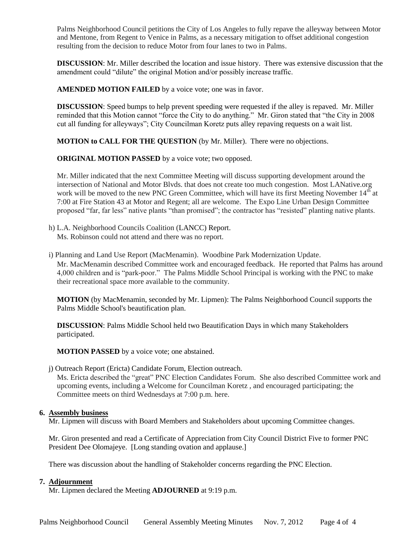Palms Neighborhood Council petitions the City of Los Angeles to fully repave the alleyway between Motor and Mentone, from Regent to Venice in Palms, as a necessary mitigation to offset additional congestion resulting from the decision to reduce Motor from four lanes to two in Palms.

**DISCUSSION**: Mr. Miller described the location and issue history. There was extensive discussion that the amendment could "dilute" the original Motion and/or possibly increase traffic.

**AMENDED MOTION FAILED** by a voice vote; one was in favor.

**DISCUSSION**: Speed bumps to help prevent speeding were requested if the alley is repaved. Mr. Miller reminded that this Motion cannot "force the City to do anything." Mr. Giron stated that "the City in 2008 cut all funding for alleyways"; City Councilman Koretz puts alley repaving requests on a wait list.

**MOTION to CALL FOR THE QUESTION** (by Mr. Miller). There were no objections.

**ORIGINAL MOTION PASSED** by a voice vote; two opposed.

Mr. Miller indicated that the next Committee Meeting will discuss supporting development around the intersection of National and Motor Blvds. that does not create too much congestion. Most LANative.org work will be moved to the new PNC Green Committee, which will have its first Meeting November 14<sup>th</sup> at 7:00 at Fire Station 43 at Motor and Regent; all are welcome. The Expo Line Urban Design Committee proposed "far, far less" native plants "than promised"; the contractor has "resisted" planting native plants.

- h) L.A. Neighborhood Councils Coalition (LANCC) Report. Ms. Robinson could not attend and there was no report.
- i) Planning and Land Use Report (MacMenamin). Woodbine Park Modernization Update.

Mr. MacMenamin described Committee work and encouraged feedback. He reported that Palms has around 4,000 children and is "park-poor." The Palms Middle School Principal is working with the PNC to make their recreational space more available to the community.

**MOTION** (by MacMenamin, seconded by Mr. Lipmen): The Palms Neighborhood Council supports the Palms Middle School's beautification plan.

**DISCUSSION**: Palms Middle School held two Beautification Days in which many Stakeholders participated.

**MOTION PASSED** by a voice vote; one abstained.

j) Outreach Report (Ericta) Candidate Forum, Election outreach.

Ms. Ericta described the "great" PNC Election Candidates Forum. She also described Committee work and upcoming events, including a Welcome for Councilman Koretz , and encouraged participating; the Committee meets on third Wednesdays at 7:00 p.m. here.

### **6. Assembly business**

Mr. Lipmen will discuss with Board Members and Stakeholders about upcoming Committee changes.

Mr. Giron presented and read a Certificate of Appreciation from City Council District Five to former PNC President Dee Olomajeye. [Long standing ovation and applause.]

There was discussion about the handling of Stakeholder concerns regarding the PNC Election.

### **7. Adjournment**

Mr. Lipmen declared the Meeting **ADJOURNED** at 9:19 p.m.